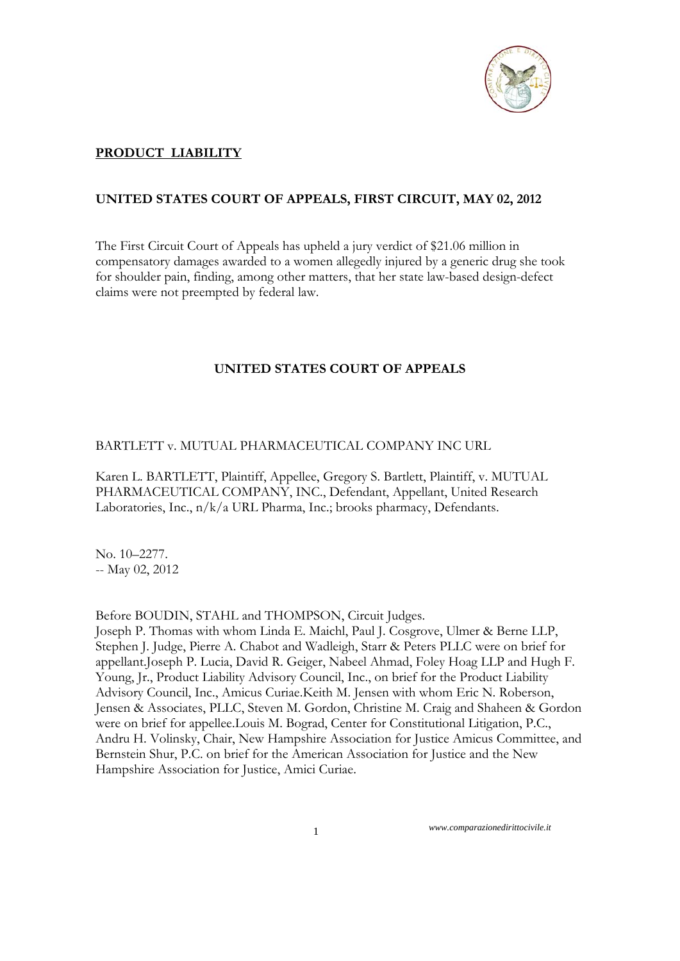

# **PRODUCT LIABILITY**

## **UNITED STATES COURT OF APPEALS, FIRST CIRCUIT, MAY 02, 2012**

The First Circuit Court of Appeals has upheld a jury verdict of \$21.06 million in compensatory damages awarded to a women allegedly injured by a generic drug she took for shoulder pain, finding, among other matters, that her state law-based design-defect claims were not preempted by federal law.

### **UNITED STATES COURT OF APPEALS**

#### BARTLETT v. MUTUAL PHARMACEUTICAL COMPANY INC URL

Karen L. BARTLETT, Plaintiff, Appellee, Gregory S. Bartlett, Plaintiff, v. MUTUAL PHARMACEUTICAL COMPANY, INC., Defendant, Appellant, United Research Laboratories, Inc., n/k/a URL Pharma, Inc.; brooks pharmacy, Defendants.

No. 10–2277. -- May 02, 2012

Before BOUDIN, STAHL and THOMPSON, Circuit Judges.

Joseph P. Thomas with whom Linda E. Maichl, Paul J. Cosgrove, Ulmer & Berne LLP, Stephen J. Judge, Pierre A. Chabot and Wadleigh, Starr & Peters PLLC were on brief for appellant.Joseph P. Lucia, David R. Geiger, Nabeel Ahmad, Foley Hoag LLP and Hugh F. Young, Jr., Product Liability Advisory Council, Inc., on brief for the Product Liability Advisory Council, Inc., Amicus Curiae.Keith M. Jensen with whom Eric N. Roberson, Jensen & Associates, PLLC, Steven M. Gordon, Christine M. Craig and Shaheen & Gordon were on brief for appellee.Louis M. Bograd, Center for Constitutional Litigation, P.C., Andru H. Volinsky, Chair, New Hampshire Association for Justice Amicus Committee, and Bernstein Shur, P.C. on brief for the American Association for Justice and the New Hampshire Association for Justice, Amici Curiae.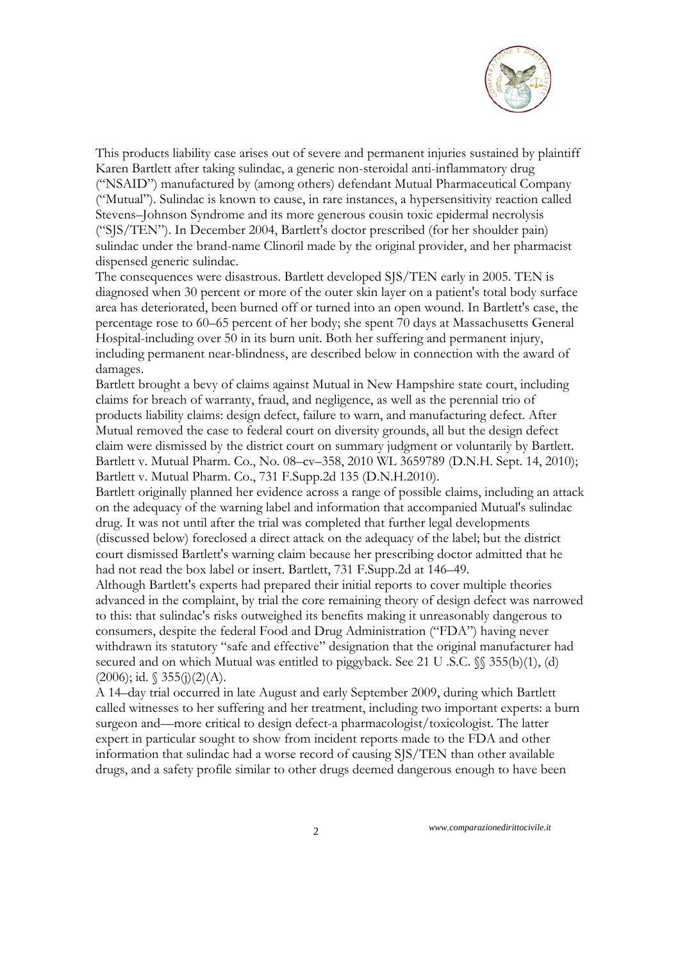

This products liability case arises out of severe and permanent injuries sustained by plaintiff Karen Bartlett after taking sulindac, a generic non-steroidal anti-inflammatory drug ("NSAID") manufactured by (among others) defendant Mutual Pharmaceutical Company ("Mutual"). Sulindac is known to cause, in rare instances, a hypersensitivity reaction called Stevens–Johnson Syndrome and its more generous cousin toxic epidermal necrolysis ("SJS/TEN"). In December 2004, Bartlett's doctor prescribed (for her shoulder pain) sulindac under the brand-name Clinoril made by the original provider, and her pharmacist dispensed generic sulindac.

The consequences were disastrous. Bartlett developed SJS/TEN early in 2005. TEN is diagnosed when 30 percent or more of the outer skin layer on a patient's total body surface area has deteriorated, been burned off or turned into an open wound. In Bartlett's case, the percentage rose to 60–65 percent of her body; she spent 70 days at Massachusetts General Hospital-including over 50 in its burn unit. Both her suffering and permanent injury, including permanent near-blindness, are described below in connection with the award of damages.

Bartlett brought a bevy of claims against Mutual in New Hampshire state court, including claims for breach of warranty, fraud, and negligence, as well as the perennial trio of products liability claims: design defect, failure to warn, and manufacturing defect. After Mutual removed the case to federal court on diversity grounds, all but the design defect claim were dismissed by the district court on summary judgment or voluntarily by Bartlett. Bartlett v. Mutual Pharm. Co., No. 08–cv–358, 2010 WL 3659789 (D.N.H. Sept. 14, 2010); Bartlett v. Mutual Pharm. Co., 731 F.Supp.2d 135 (D.N.H.2010).

Bartlett originally planned her evidence across a range of possible claims, including an attack on the adequacy of the warning label and information that accompanied Mutual's sulindac drug. It was not until after the trial was completed that further legal developments (discussed below) foreclosed a direct attack on the adequacy of the label; but the district court dismissed Bartlett's warning claim because her prescribing doctor admitted that he had not read the box label or insert. Bartlett, 731 F.Supp.2d at 146–49.

Although Bartlett's experts had prepared their initial reports to cover multiple theories advanced in the complaint, by trial the core remaining theory of design defect was narrowed to this: that sulindac's risks outweighed its benefits making it unreasonably dangerous to consumers, despite the federal Food and Drug Administration ("FDA") having never withdrawn its statutory "safe and effective" designation that the original manufacturer had secured and on which Mutual was entitled to piggyback. See 21 U .S.C.  $\%$  355(b)(1), (d)  $(2006)$ ; id.  $\sqrt{355(j)(2)(A)}$ .

A 14–day trial occurred in late August and early September 2009, during which Bartlett called witnesses to her suffering and her treatment, including two important experts: a burn surgeon and—more critical to design defect-a pharmacologist/toxicologist. The latter expert in particular sought to show from incident reports made to the FDA and other information that sulindac had a worse record of causing SJS/TEN than other available drugs, and a safety profile similar to other drugs deemed dangerous enough to have been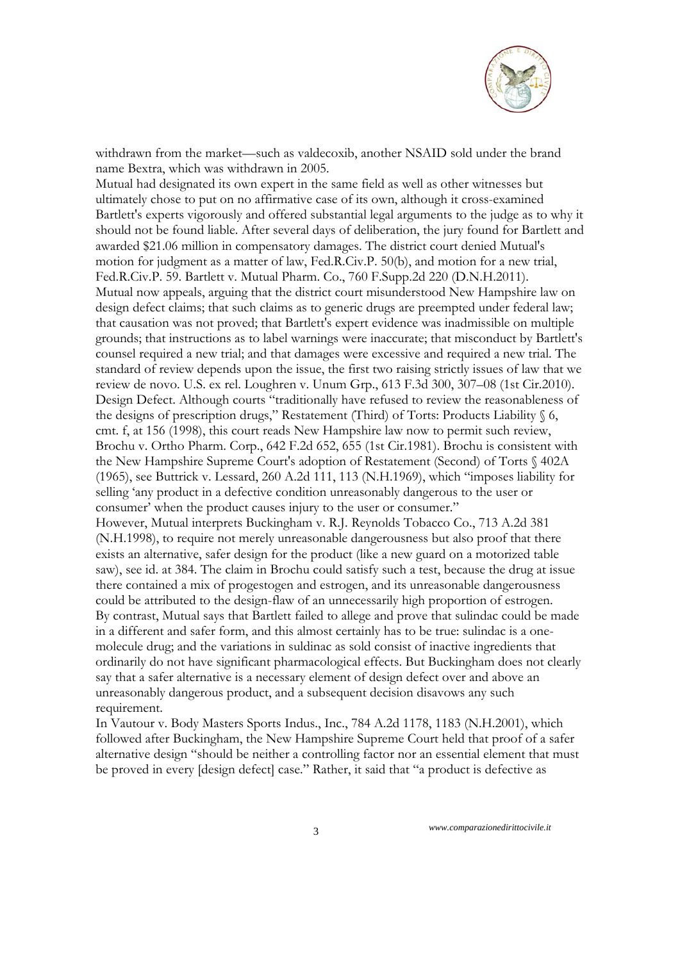

withdrawn from the market—such as valdecoxib, another NSAID sold under the brand name Bextra, which was withdrawn in 2005.

Mutual had designated its own expert in the same field as well as other witnesses but ultimately chose to put on no affirmative case of its own, although it cross-examined Bartlett's experts vigorously and offered substantial legal arguments to the judge as to why it should not be found liable. After several days of deliberation, the jury found for Bartlett and awarded \$21.06 million in compensatory damages. The district court denied Mutual's motion for judgment as a matter of law, Fed.R.Civ.P. 50(b), and motion for a new trial, Fed.R.Civ.P. 59. Bartlett v. Mutual Pharm. Co., 760 F.Supp.2d 220 (D.N.H.2011). Mutual now appeals, arguing that the district court misunderstood New Hampshire law on design defect claims; that such claims as to generic drugs are preempted under federal law; that causation was not proved; that Bartlett's expert evidence was inadmissible on multiple grounds; that instructions as to label warnings were inaccurate; that misconduct by Bartlett's counsel required a new trial; and that damages were excessive and required a new trial. The standard of review depends upon the issue, the first two raising strictly issues of law that we review de novo. U.S. ex rel. Loughren v. Unum Grp., 613 F.3d 300, 307–08 (1st Cir.2010). Design Defect. Although courts "traditionally have refused to review the reasonableness of the designs of prescription drugs," Restatement (Third) of Torts: Products Liability § 6, cmt. f, at 156 (1998), this court reads New Hampshire law now to permit such review, Brochu v. Ortho Pharm. Corp., 642 F.2d 652, 655 (1st Cir.1981). Brochu is consistent with the New Hampshire Supreme Court's adoption of Restatement (Second) of Torts § 402A (1965), see Buttrick v. Lessard, 260 A.2d 111, 113 (N.H.1969), which "imposes liability for selling 'any product in a defective condition unreasonably dangerous to the user or consumer' when the product causes injury to the user or consumer." However, Mutual interprets Buckingham v. R.J. Reynolds Tobacco Co., 713 A.2d 381 (N.H.1998), to require not merely unreasonable dangerousness but also proof that there exists an alternative, safer design for the product (like a new guard on a motorized table saw), see id. at 384. The claim in Brochu could satisfy such a test, because the drug at issue there contained a mix of progestogen and estrogen, and its unreasonable dangerousness could be attributed to the design-flaw of an unnecessarily high proportion of estrogen. By contrast, Mutual says that Bartlett failed to allege and prove that sulindac could be made in a different and safer form, and this almost certainly has to be true: sulindac is a onemolecule drug; and the variations in suldinac as sold consist of inactive ingredients that ordinarily do not have significant pharmacological effects. But Buckingham does not clearly say that a safer alternative is a necessary element of design defect over and above an unreasonably dangerous product, and a subsequent decision disavows any such

requirement.

In Vautour v. Body Masters Sports Indus., Inc., 784 A.2d 1178, 1183 (N.H.2001), which followed after Buckingham, the New Hampshire Supreme Court held that proof of a safer alternative design "should be neither a controlling factor nor an essential element that must be proved in every [design defect] case." Rather, it said that "a product is defective as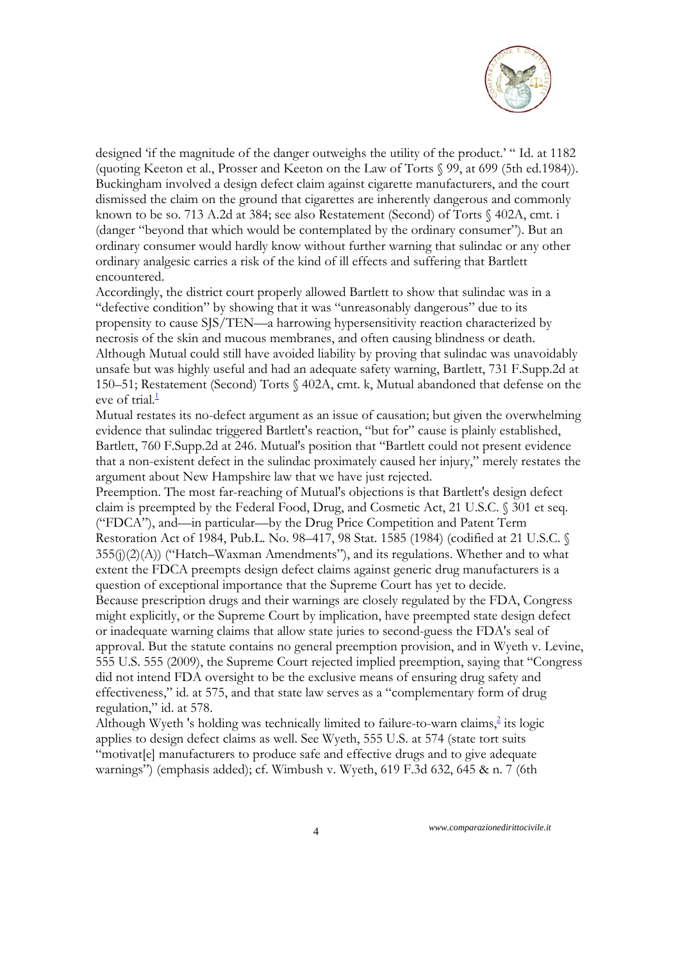

designed 'if the magnitude of the danger outweighs the utility of the product.' " Id. at 1182 (quoting Keeton et al., Prosser and Keeton on the Law of Torts § 99, at 699 (5th ed.1984)). Buckingham involved a design defect claim against cigarette manufacturers, and the court dismissed the claim on the ground that cigarettes are inherently dangerous and commonly known to be so. 713 A.2d at 384; see also Restatement (Second) of Torts § 402A, cmt. i (danger "beyond that which would be contemplated by the ordinary consumer"). But an ordinary consumer would hardly know without further warning that sulindac or any other ordinary analgesic carries a risk of the kind of ill effects and suffering that Bartlett encountered.

Accordingly, the district court properly allowed Bartlett to show that sulindac was in a "defective condition" by showing that it was "unreasonably dangerous" due to its propensity to cause SJS/TEN—a harrowing hypersensitivity reaction characterized by necrosis of the skin and mucous membranes, and often causing blindness or death. Although Mutual could still have avoided liability by proving that sulindac was unavoidably unsafe but was highly useful and had an adequate safety warning, Bartlett, 731 F.Supp.2d at 150–51; Restatement (Second) Torts § 402A, cmt. k, Mutual abandoned that defense on the eve of trial.<sup>1</sup>

Mutual restates its no-defect argument as an issue of causation; but given the overwhelming evidence that sulindac triggered Bartlett's reaction, "but for" cause is plainly established, Bartlett, 760 F.Supp.2d at 246. Mutual's position that "Bartlett could not present evidence that a non-existent defect in the sulindac proximately caused her injury," merely restates the argument about New Hampshire law that we have just rejected.

Preemption. The most far-reaching of Mutual's objections is that Bartlett's design defect claim is preempted by the Federal Food, Drug, and Cosmetic Act, 21 U.S.C. § 301 et seq. ("FDCA"), and—in particular—by the Drug Price Competition and Patent Term Restoration Act of 1984, Pub.L. No. 98–417, 98 Stat. 1585 (1984) (codified at 21 U.S.C. §  $355(j)(2)(A)$  ("Hatch–Waxman Amendments"), and its regulations. Whether and to what extent the FDCA preempts design defect claims against generic drug manufacturers is a question of exceptional importance that the Supreme Court has yet to decide. Because prescription drugs and their warnings are closely regulated by the FDA, Congress

might explicitly, or the Supreme Court by implication, have preempted state design defect or inadequate warning claims that allow state juries to second-guess the FDA's seal of approval. But the statute contains no general preemption provision, and in Wyeth v. Levine, 555 U.S. 555 (2009), the Supreme Court rejected implied preemption, saying that "Congress did not intend FDA oversight to be the exclusive means of ensuring drug safety and effectiveness," id. at 575, and that state law serves as a "complementary form of drug regulation," id. at 578.

Although Wyeth 's holding was technically limited to failure-to-warn claims,<sup>2</sup> its logic applies to design defect claims as well. See Wyeth, 555 U.S. at 574 (state tort suits "motivat[e] manufacturers to produce safe and effective drugs and to give adequate warnings") (emphasis added); cf. Wimbush v. Wyeth, 619 F.3d 632, 645 & n. 7 (6th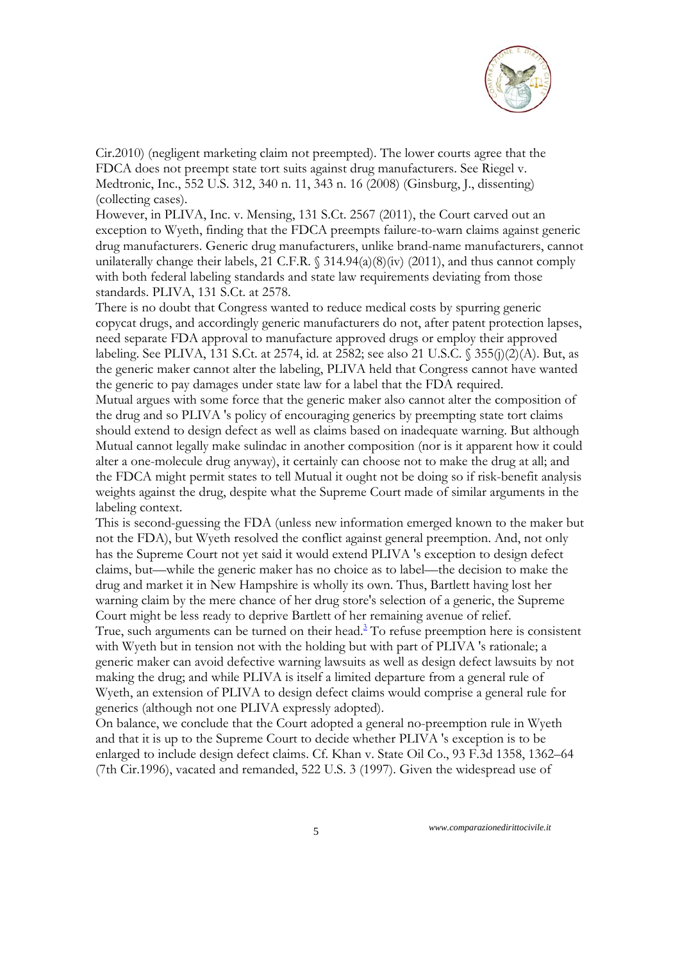

Cir.2010) (negligent marketing claim not preempted). The lower courts agree that the FDCA does not preempt state tort suits against drug manufacturers. See Riegel v. Medtronic, Inc., 552 U.S. 312, 340 n. 11, 343 n. 16 (2008) (Ginsburg, J., dissenting) (collecting cases).

However, in PLIVA, Inc. v. Mensing, 131 S.Ct. 2567 (2011), the Court carved out an exception to Wyeth, finding that the FDCA preempts failure-to-warn claims against generic drug manufacturers. Generic drug manufacturers, unlike brand-name manufacturers, cannot unilaterally change their labels, 21 C.F.R.  $\frac{214.94(a)(8)(iv)}{2011}$ , and thus cannot comply with both federal labeling standards and state law requirements deviating from those standards. PLIVA, 131 S.Ct. at 2578.

There is no doubt that Congress wanted to reduce medical costs by spurring generic copycat drugs, and accordingly generic manufacturers do not, after patent protection lapses, need separate FDA approval to manufacture approved drugs or employ their approved labeling. See PLIVA, 131 S.Ct. at 2574, id. at 2582; see also 21 U.S.C. § 355(j)(2)(A). But, as the generic maker cannot alter the labeling, PLIVA held that Congress cannot have wanted the generic to pay damages under state law for a label that the FDA required. Mutual argues with some force that the generic maker also cannot alter the composition of the drug and so PLIVA 's policy of encouraging generics by preempting state tort claims should extend to design defect as well as claims based on inadequate warning. But although Mutual cannot legally make sulindac in another composition (nor is it apparent how it could alter a one-molecule drug anyway), it certainly can choose not to make the drug at all; and the FDCA might permit states to tell Mutual it ought not be doing so if risk-benefit analysis weights against the drug, despite what the Supreme Court made of similar arguments in the labeling context.

This is second-guessing the FDA (unless new information emerged known to the maker but not the FDA), but Wyeth resolved the conflict against general preemption. And, not only has the Supreme Court not yet said it would extend PLIVA 's exception to design defect claims, but—while the generic maker has no choice as to label—the decision to make the drug and market it in New Hampshire is wholly its own. Thus, Bartlett having lost her warning claim by the mere chance of her drug store's selection of a generic, the Supreme Court might be less ready to deprive Bartlett of her remaining avenue of relief.

True, such arguments can be turned on their head.<sup>3</sup> To refuse preemption here is consistent with Wyeth but in tension not with the holding but with part of PLIVA 's rationale; a generic maker can avoid defective warning lawsuits as well as design defect lawsuits by not making the drug; and while PLIVA is itself a limited departure from a general rule of Wyeth, an extension of PLIVA to design defect claims would comprise a general rule for generics (although not one PLIVA expressly adopted).

On balance, we conclude that the Court adopted a general no-preemption rule in Wyeth and that it is up to the Supreme Court to decide whether PLIVA 's exception is to be enlarged to include design defect claims. Cf. Khan v. State Oil Co., 93 F.3d 1358, 1362–64 (7th Cir.1996), vacated and remanded, 522 U.S. 3 (1997). Given the widespread use of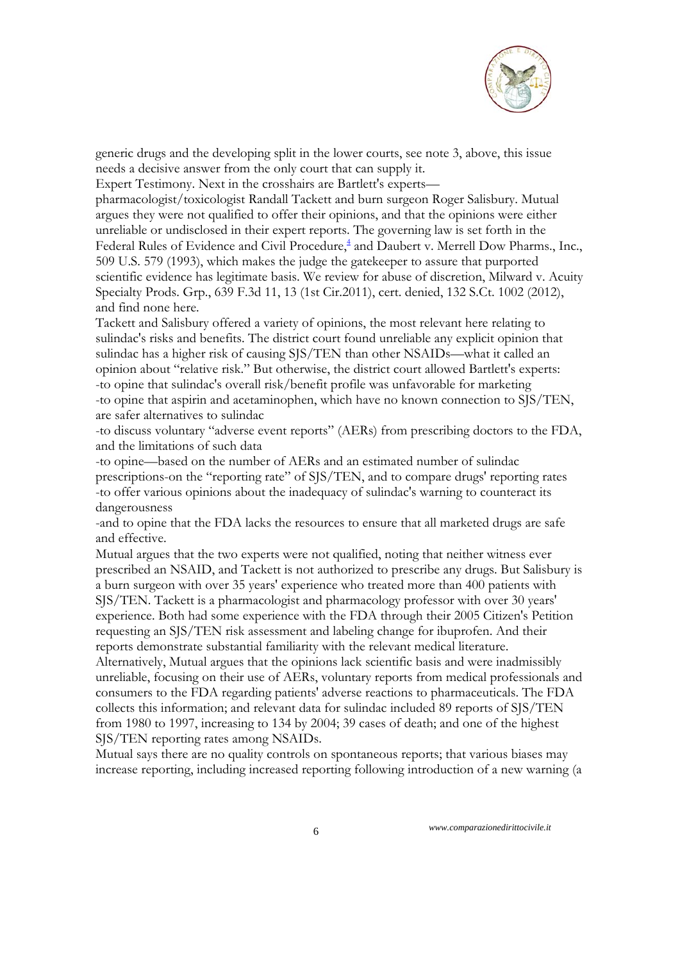

generic drugs and the developing split in the lower courts, see note 3, above, this issue needs a decisive answer from the only court that can supply it.

Expert Testimony. Next in the crosshairs are Bartlett's experts—

pharmacologist/toxicologist Randall Tackett and burn surgeon Roger Salisbury. Mutual argues they were not qualified to offer their opinions, and that the opinions were either unreliable or undisclosed in their expert reports. The governing law is set forth in the Federal Rules of Evidence and Civil Procedure,<sup>4</sup> and Daubert v. Merrell Dow Pharms., Inc., 509 U.S. 579 (1993), which makes the judge the gatekeeper to assure that purported scientific evidence has legitimate basis. We review for abuse of discretion, Milward v. Acuity Specialty Prods. Grp., 639 F.3d 11, 13 (1st Cir.2011), cert. denied, 132 S.Ct. 1002 (2012), and find none here.

Tackett and Salisbury offered a variety of opinions, the most relevant here relating to sulindac's risks and benefits. The district court found unreliable any explicit opinion that sulindac has a higher risk of causing SJS/TEN than other NSAIDs—what it called an opinion about "relative risk." But otherwise, the district court allowed Bartlett's experts: -to opine that sulindac's overall risk/benefit profile was unfavorable for marketing -to opine that aspirin and acetaminophen, which have no known connection to SJS/TEN, are safer alternatives to sulindac

-to discuss voluntary "adverse event reports" (AERs) from prescribing doctors to the FDA, and the limitations of such data

-to opine—based on the number of AERs and an estimated number of sulindac prescriptions-on the "reporting rate" of SJS/TEN, and to compare drugs' reporting rates -to offer various opinions about the inadequacy of sulindac's warning to counteract its dangerousness

-and to opine that the FDA lacks the resources to ensure that all marketed drugs are safe and effective.

Mutual argues that the two experts were not qualified, noting that neither witness ever prescribed an NSAID, and Tackett is not authorized to prescribe any drugs. But Salisbury is a burn surgeon with over 35 years' experience who treated more than 400 patients with SJS/TEN. Tackett is a pharmacologist and pharmacology professor with over 30 years' experience. Both had some experience with the FDA through their 2005 Citizen's Petition requesting an SJS/TEN risk assessment and labeling change for ibuprofen. And their reports demonstrate substantial familiarity with the relevant medical literature.

Alternatively, Mutual argues that the opinions lack scientific basis and were inadmissibly unreliable, focusing on their use of AERs, voluntary reports from medical professionals and consumers to the FDA regarding patients' adverse reactions to pharmaceuticals. The FDA collects this information; and relevant data for sulindac included 89 reports of SJS/TEN from 1980 to 1997, increasing to 134 by 2004; 39 cases of death; and one of the highest SJS/TEN reporting rates among NSAIDs.

Mutual says there are no quality controls on spontaneous reports; that various biases may increase reporting, including increased reporting following introduction of a new warning (a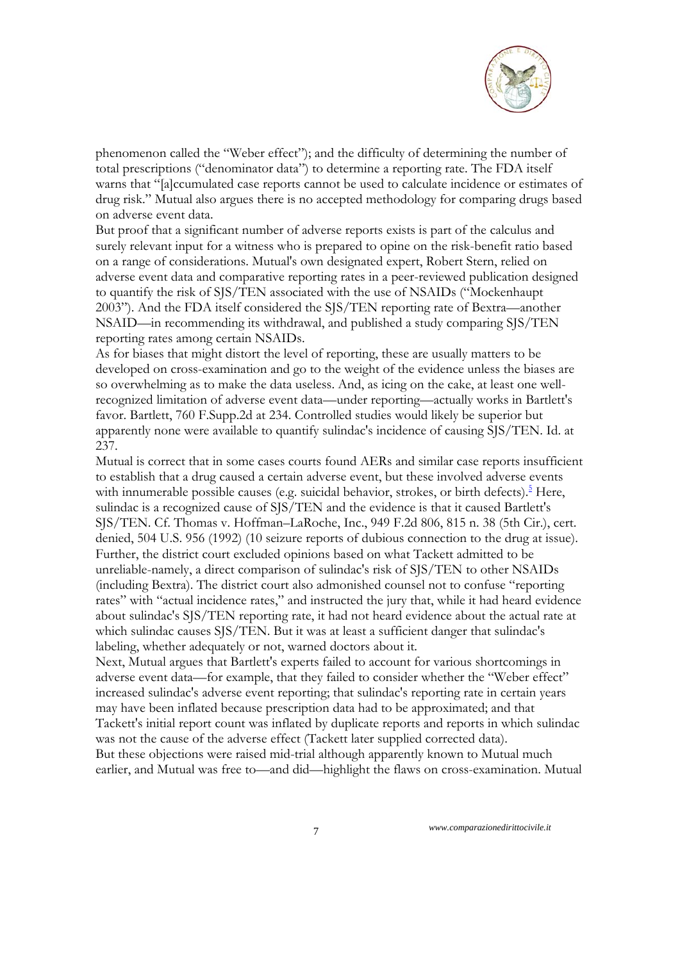

phenomenon called the "Weber effect"); and the difficulty of determining the number of total prescriptions ("denominator data") to determine a reporting rate. The FDA itself warns that "[a]ccumulated case reports cannot be used to calculate incidence or estimates of drug risk." Mutual also argues there is no accepted methodology for comparing drugs based on adverse event data.

But proof that a significant number of adverse reports exists is part of the calculus and surely relevant input for a witness who is prepared to opine on the risk-benefit ratio based on a range of considerations. Mutual's own designated expert, Robert Stern, relied on adverse event data and comparative reporting rates in a peer-reviewed publication designed to quantify the risk of SJS/TEN associated with the use of NSAIDs ("Mockenhaupt 2003"). And the FDA itself considered the SJS/TEN reporting rate of Bextra—another NSAID—in recommending its withdrawal, and published a study comparing SJS/TEN reporting rates among certain NSAIDs.

As for biases that might distort the level of reporting, these are usually matters to be developed on cross-examination and go to the weight of the evidence unless the biases are so overwhelming as to make the data useless. And, as icing on the cake, at least one wellrecognized limitation of adverse event data—under reporting—actually works in Bartlett's favor. Bartlett, 760 F.Supp.2d at 234. Controlled studies would likely be superior but apparently none were available to quantify sulindac's incidence of causing SJS/TEN. Id. at 237.

Mutual is correct that in some cases courts found AERs and similar case reports insufficient to establish that a drug caused a certain adverse event, but these involved adverse events with innumerable possible causes (e.g. suicidal behavior, strokes, or birth defects).<sup>5</sup> Here, sulindac is a recognized cause of SJS/TEN and the evidence is that it caused Bartlett's SJS/TEN. Cf. Thomas v. Hoffman–LaRoche, Inc., 949 F.2d 806, 815 n. 38 (5th Cir.), cert. denied, 504 U.S. 956 (1992) (10 seizure reports of dubious connection to the drug at issue). Further, the district court excluded opinions based on what Tackett admitted to be unreliable-namely, a direct comparison of sulindac's risk of SJS/TEN to other NSAIDs (including Bextra). The district court also admonished counsel not to confuse "reporting rates" with "actual incidence rates," and instructed the jury that, while it had heard evidence about sulindac's SJS/TEN reporting rate, it had not heard evidence about the actual rate at which sulindac causes SJS/TEN. But it was at least a sufficient danger that sulindac's labeling, whether adequately or not, warned doctors about it.

Next, Mutual argues that Bartlett's experts failed to account for various shortcomings in adverse event data—for example, that they failed to consider whether the "Weber effect" increased sulindac's adverse event reporting; that sulindac's reporting rate in certain years may have been inflated because prescription data had to be approximated; and that Tackett's initial report count was inflated by duplicate reports and reports in which sulindac was not the cause of the adverse effect (Tackett later supplied corrected data). But these objections were raised mid-trial although apparently known to Mutual much earlier, and Mutual was free to—and did—highlight the flaws on cross-examination. Mutual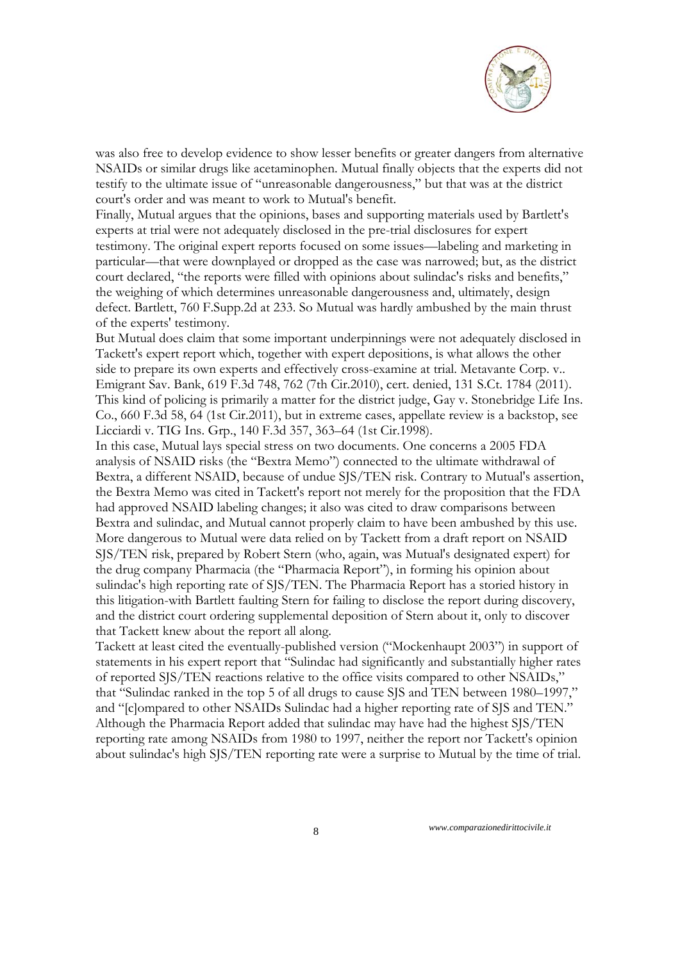

was also free to develop evidence to show lesser benefits or greater dangers from alternative NSAIDs or similar drugs like acetaminophen. Mutual finally objects that the experts did not testify to the ultimate issue of "unreasonable dangerousness," but that was at the district court's order and was meant to work to Mutual's benefit.

Finally, Mutual argues that the opinions, bases and supporting materials used by Bartlett's experts at trial were not adequately disclosed in the pre-trial disclosures for expert testimony. The original expert reports focused on some issues—labeling and marketing in particular—that were downplayed or dropped as the case was narrowed; but, as the district court declared, "the reports were filled with opinions about sulindac's risks and benefits," the weighing of which determines unreasonable dangerousness and, ultimately, design defect. Bartlett, 760 F.Supp.2d at 233. So Mutual was hardly ambushed by the main thrust of the experts' testimony.

But Mutual does claim that some important underpinnings were not adequately disclosed in Tackett's expert report which, together with expert depositions, is what allows the other side to prepare its own experts and effectively cross-examine at trial. Metavante Corp. v.. Emigrant Sav. Bank, 619 F.3d 748, 762 (7th Cir.2010), cert. denied, 131 S.Ct. 1784 (2011). This kind of policing is primarily a matter for the district judge, Gay v. Stonebridge Life Ins. Co., 660 F.3d 58, 64 (1st Cir.2011), but in extreme cases, appellate review is a backstop, see Licciardi v. TIG Ins. Grp., 140 F.3d 357, 363–64 (1st Cir.1998).

In this case, Mutual lays special stress on two documents. One concerns a 2005 FDA analysis of NSAID risks (the "Bextra Memo") connected to the ultimate withdrawal of Bextra, a different NSAID, because of undue SJS/TEN risk. Contrary to Mutual's assertion, the Bextra Memo was cited in Tackett's report not merely for the proposition that the FDA had approved NSAID labeling changes; it also was cited to draw comparisons between Bextra and sulindac, and Mutual cannot properly claim to have been ambushed by this use. More dangerous to Mutual were data relied on by Tackett from a draft report on NSAID SJS/TEN risk, prepared by Robert Stern (who, again, was Mutual's designated expert) for the drug company Pharmacia (the "Pharmacia Report"), in forming his opinion about sulindac's high reporting rate of SJS/TEN. The Pharmacia Report has a storied history in this litigation-with Bartlett faulting Stern for failing to disclose the report during discovery, and the district court ordering supplemental deposition of Stern about it, only to discover that Tackett knew about the report all along.

Tackett at least cited the eventually-published version ("Mockenhaupt 2003") in support of statements in his expert report that "Sulindac had significantly and substantially higher rates of reported SJS/TEN reactions relative to the office visits compared to other NSAIDs," that "Sulindac ranked in the top 5 of all drugs to cause SJS and TEN between 1980–1997," and "[c]ompared to other NSAIDs Sulindac had a higher reporting rate of SJS and TEN." Although the Pharmacia Report added that sulindac may have had the highest SJS/TEN reporting rate among NSAIDs from 1980 to 1997, neither the report nor Tackett's opinion about sulindac's high SJS/TEN reporting rate were a surprise to Mutual by the time of trial.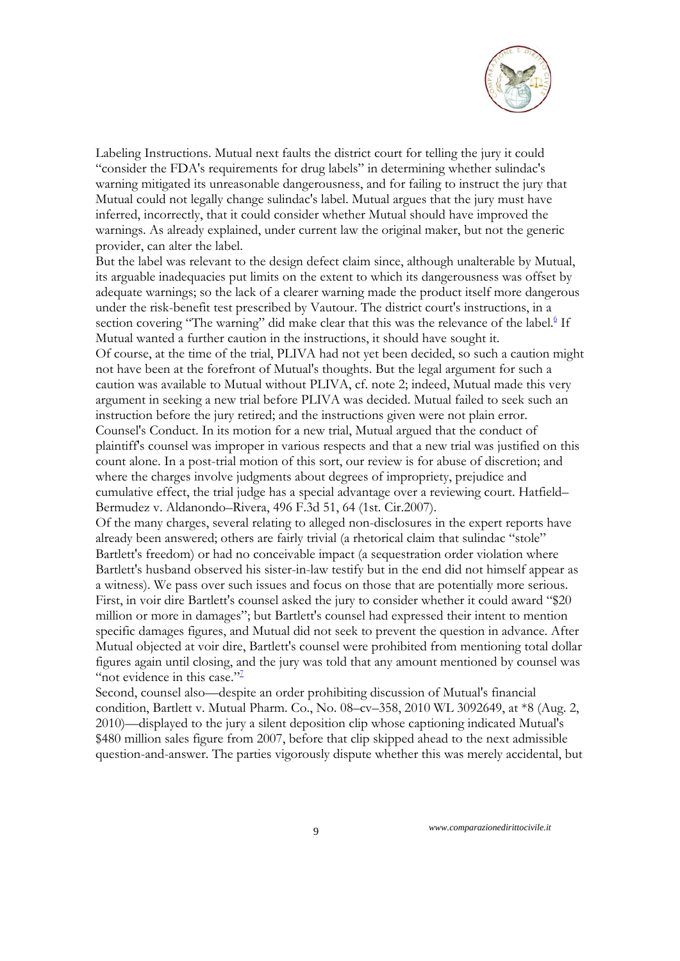

Labeling Instructions. Mutual next faults the district court for telling the jury it could "consider the FDA's requirements for drug labels" in determining whether sulindac's warning mitigated its unreasonable dangerousness, and for failing to instruct the jury that Mutual could not legally change sulindac's label. Mutual argues that the jury must have inferred, incorrectly, that it could consider whether Mutual should have improved the warnings. As already explained, under current law the original maker, but not the generic provider, can alter the label.

But the label was relevant to the design defect claim since, although unalterable by Mutual, its arguable inadequacies put limits on the extent to which its dangerousness was offset by adequate warnings; so the lack of a clearer warning made the product itself more dangerous under the risk-benefit test prescribed by Vautour. The district court's instructions, in a section covering "The warning" did make clear that this was the relevance of the label.<sup>6</sup> If Mutual wanted a further caution in the instructions, it should have sought it. Of course, at the time of the trial, PLIVA had not yet been decided, so such a caution might not have been at the forefront of Mutual's thoughts. But the legal argument for such a caution was available to Mutual without PLIVA, cf. note 2; indeed, Mutual made this very argument in seeking a new trial before PLIVA was decided. Mutual failed to seek such an instruction before the jury retired; and the instructions given were not plain error. Counsel's Conduct. In its motion for a new trial, Mutual argued that the conduct of plaintiff's counsel was improper in various respects and that a new trial was justified on this count alone. In a post-trial motion of this sort, our review is for abuse of discretion; and where the charges involve judgments about degrees of impropriety, prejudice and cumulative effect, the trial judge has a special advantage over a reviewing court. Hatfield– Bermudez v. Aldanondo–Rivera, 496 F.3d 51, 64 (1st. Cir.2007).

Of the many charges, several relating to alleged non-disclosures in the expert reports have already been answered; others are fairly trivial (a rhetorical claim that sulindac "stole" Bartlett's freedom) or had no conceivable impact (a sequestration order violation where Bartlett's husband observed his sister-in-law testify but in the end did not himself appear as a witness). We pass over such issues and focus on those that are potentially more serious. First, in voir dire Bartlett's counsel asked the jury to consider whether it could award "\$20 million or more in damages"; but Bartlett's counsel had expressed their intent to mention specific damages figures, and Mutual did not seek to prevent the question in advance. After Mutual objected at voir dire, Bartlett's counsel were prohibited from mentioning total dollar figures again until closing, and the jury was told that any amount mentioned by counsel was "not evidence in this case."<sup>7</sup>

Second, counsel also—despite an order prohibiting discussion of Mutual's financial condition, Bartlett v. Mutual Pharm. Co., No. 08–cv–358, 2010 WL 3092649, at \*8 (Aug. 2, 2010)—displayed to the jury a silent deposition clip whose captioning indicated Mutual's \$480 million sales figure from 2007, before that clip skipped ahead to the next admissible question-and-answer. The parties vigorously dispute whether this was merely accidental, but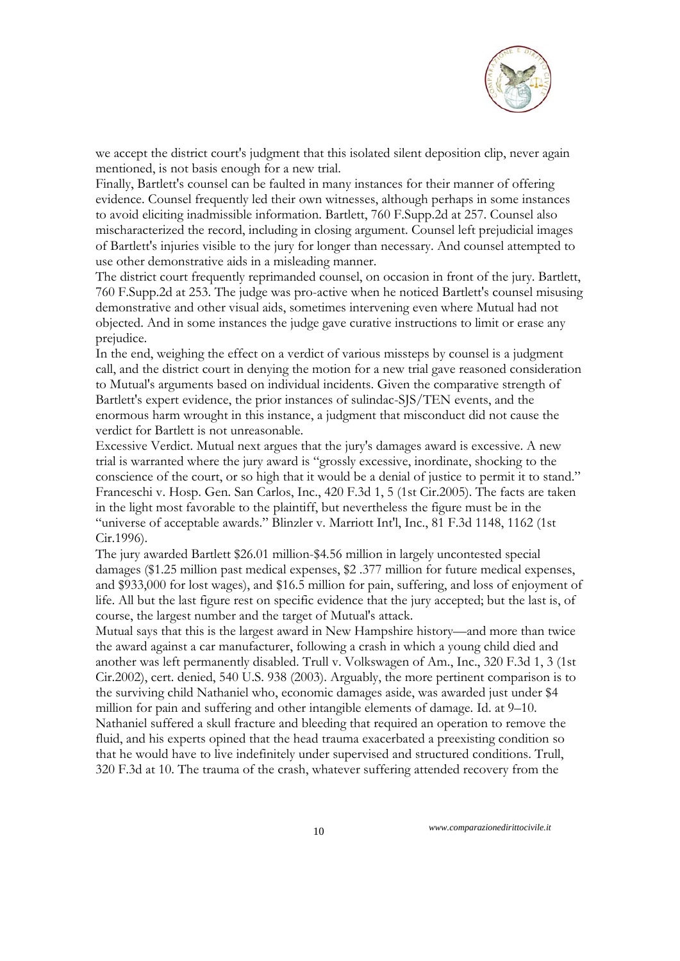

we accept the district court's judgment that this isolated silent deposition clip, never again mentioned, is not basis enough for a new trial.

Finally, Bartlett's counsel can be faulted in many instances for their manner of offering evidence. Counsel frequently led their own witnesses, although perhaps in some instances to avoid eliciting inadmissible information. Bartlett, 760 F.Supp.2d at 257. Counsel also mischaracterized the record, including in closing argument. Counsel left prejudicial images of Bartlett's injuries visible to the jury for longer than necessary. And counsel attempted to use other demonstrative aids in a misleading manner.

The district court frequently reprimanded counsel, on occasion in front of the jury. Bartlett, 760 F.Supp.2d at 253. The judge was pro-active when he noticed Bartlett's counsel misusing demonstrative and other visual aids, sometimes intervening even where Mutual had not objected. And in some instances the judge gave curative instructions to limit or erase any prejudice.

In the end, weighing the effect on a verdict of various missteps by counsel is a judgment call, and the district court in denying the motion for a new trial gave reasoned consideration to Mutual's arguments based on individual incidents. Given the comparative strength of Bartlett's expert evidence, the prior instances of sulindac-SJS/TEN events, and the enormous harm wrought in this instance, a judgment that misconduct did not cause the verdict for Bartlett is not unreasonable.

Excessive Verdict. Mutual next argues that the jury's damages award is excessive. A new trial is warranted where the jury award is "grossly excessive, inordinate, shocking to the conscience of the court, or so high that it would be a denial of justice to permit it to stand." Franceschi v. Hosp. Gen. San Carlos, Inc., 420 F.3d 1, 5 (1st Cir.2005). The facts are taken in the light most favorable to the plaintiff, but nevertheless the figure must be in the "universe of acceptable awards." Blinzler v. Marriott Int'l, Inc., 81 F.3d 1148, 1162 (1st Cir.1996).

The jury awarded Bartlett \$26.01 million-\$4.56 million in largely uncontested special damages (\$1.25 million past medical expenses, \$2 .377 million for future medical expenses, and \$933,000 for lost wages), and \$16.5 million for pain, suffering, and loss of enjoyment of life. All but the last figure rest on specific evidence that the jury accepted; but the last is, of course, the largest number and the target of Mutual's attack.

Mutual says that this is the largest award in New Hampshire history—and more than twice the award against a car manufacturer, following a crash in which a young child died and another was left permanently disabled. Trull v. Volkswagen of Am., Inc., 320 F.3d 1, 3 (1st Cir.2002), cert. denied, 540 U.S. 938 (2003). Arguably, the more pertinent comparison is to the surviving child Nathaniel who, economic damages aside, was awarded just under \$4 million for pain and suffering and other intangible elements of damage. Id. at 9–10. Nathaniel suffered a skull fracture and bleeding that required an operation to remove the fluid, and his experts opined that the head trauma exacerbated a preexisting condition so that he would have to live indefinitely under supervised and structured conditions. Trull, 320 F.3d at 10. The trauma of the crash, whatever suffering attended recovery from the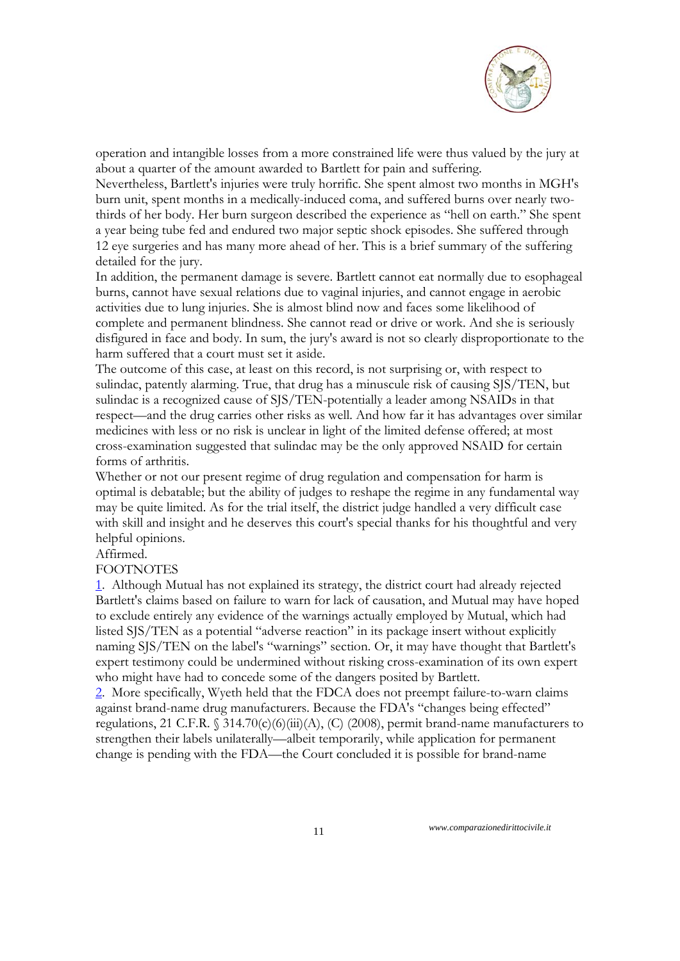

operation and intangible losses from a more constrained life were thus valued by the jury at about a quarter of the amount awarded to Bartlett for pain and suffering.

Nevertheless, Bartlett's injuries were truly horrific. She spent almost two months in MGH's burn unit, spent months in a medically-induced coma, and suffered burns over nearly twothirds of her body. Her burn surgeon described the experience as "hell on earth." She spent a year being tube fed and endured two major septic shock episodes. She suffered through 12 eye surgeries and has many more ahead of her. This is a brief summary of the suffering detailed for the jury.

In addition, the permanent damage is severe. Bartlett cannot eat normally due to esophageal burns, cannot have sexual relations due to vaginal injuries, and cannot engage in aerobic activities due to lung injuries. She is almost blind now and faces some likelihood of complete and permanent blindness. She cannot read or drive or work. And she is seriously disfigured in face and body. In sum, the jury's award is not so clearly disproportionate to the harm suffered that a court must set it aside.

The outcome of this case, at least on this record, is not surprising or, with respect to sulindac, patently alarming. True, that drug has a minuscule risk of causing SJS/TEN, but sulindac is a recognized cause of SJS/TEN-potentially a leader among NSAIDs in that respect—and the drug carries other risks as well. And how far it has advantages over similar medicines with less or no risk is unclear in light of the limited defense offered; at most cross-examination suggested that sulindac may be the only approved NSAID for certain forms of arthritis.

Whether or not our present regime of drug regulation and compensation for harm is optimal is debatable; but the ability of judges to reshape the regime in any fundamental way may be quite limited. As for the trial itself, the district judge handled a very difficult case with skill and insight and he deserves this court's special thanks for his thoughtful and very helpful opinions.

#### Affirmed.

#### FOOTNOTES

1. Although Mutual has not explained its strategy, the district court had already rejected Bartlett's claims based on failure to warn for lack of causation, and Mutual may have hoped to exclude entirely any evidence of the warnings actually employed by Mutual, which had listed SJS/TEN as a potential "adverse reaction" in its package insert without explicitly naming SJS/TEN on the label's "warnings" section. Or, it may have thought that Bartlett's expert testimony could be undermined without risking cross-examination of its own expert who might have had to concede some of the dangers posited by Bartlett.

2. More specifically, Wyeth held that the FDCA does not preempt failure-to-warn claims against brand-name drug manufacturers. Because the FDA's "changes being effected" regulations, 21 C.F.R.  $\S$  314.70(c)(6)(iii)(A), (C) (2008), permit brand-name manufacturers to strengthen their labels unilaterally—albeit temporarily, while application for permanent change is pending with the FDA—the Court concluded it is possible for brand-name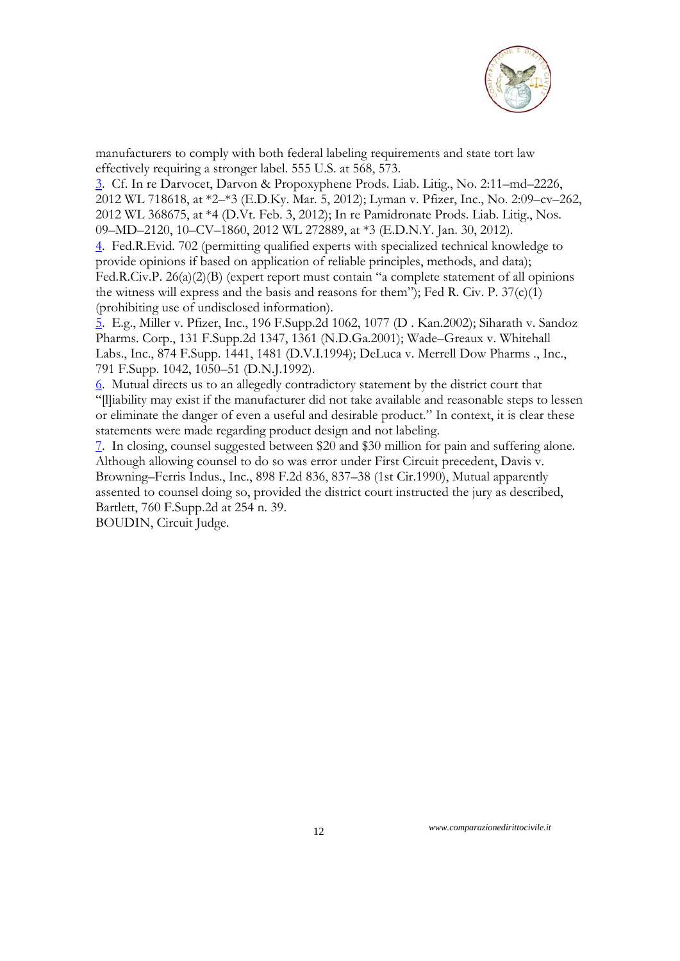

manufacturers to comply with both federal labeling requirements and state tort law effectively requiring a stronger label. 555 U.S. at 568, 573.

3. Cf. In re Darvocet, Darvon & Propoxyphene Prods. Liab. Litig., No. 2:11–md–2226, 2012 WL 718618, at \*2–\*3 (E.D.Ky. Mar. 5, 2012); Lyman v. Pfizer, Inc., No. 2:09–cv–262, 2012 WL 368675, at \*4 (D.Vt. Feb. 3, 2012); In re Pamidronate Prods. Liab. Litig., Nos. 09–MD–2120, 10–CV–1860, 2012 WL 272889, at \*3 (E.D.N.Y. Jan. 30, 2012).

4. Fed.R.Evid. 702 (permitting qualified experts with specialized technical knowledge to provide opinions if based on application of reliable principles, methods, and data); Fed.R.Civ.P. 26(a)(2)(B) (expert report must contain "a complete statement of all opinions the witness will express and the basis and reasons for them"); Fed R. Civ. P.  $37(c)(1)$ (prohibiting use of undisclosed information).

5. E.g., Miller v. Pfizer, Inc., 196 F.Supp.2d 1062, 1077 (D . Kan.2002); Siharath v. Sandoz Pharms. Corp., 131 F.Supp.2d 1347, 1361 (N.D.Ga.2001); Wade–Greaux v. Whitehall Labs., Inc., 874 F.Supp. 1441, 1481 (D.V.I.1994); DeLuca v. Merrell Dow Pharms ., Inc., 791 F.Supp. 1042, 1050–51 (D.N.J.1992).

6. Mutual directs us to an allegedly contradictory statement by the district court that "[l]iability may exist if the manufacturer did not take available and reasonable steps to lessen or eliminate the danger of even a useful and desirable product." In context, it is clear these statements were made regarding product design and not labeling.

7. In closing, counsel suggested between \$20 and \$30 million for pain and suffering alone. Although allowing counsel to do so was error under First Circuit precedent, Davis v. Browning–Ferris Indus., Inc., 898 F.2d 836, 837–38 (1st Cir.1990), Mutual apparently assented to counsel doing so, provided the district court instructed the jury as described, Bartlett, 760 F.Supp.2d at 254 n. 39.

BOUDIN, Circuit Judge.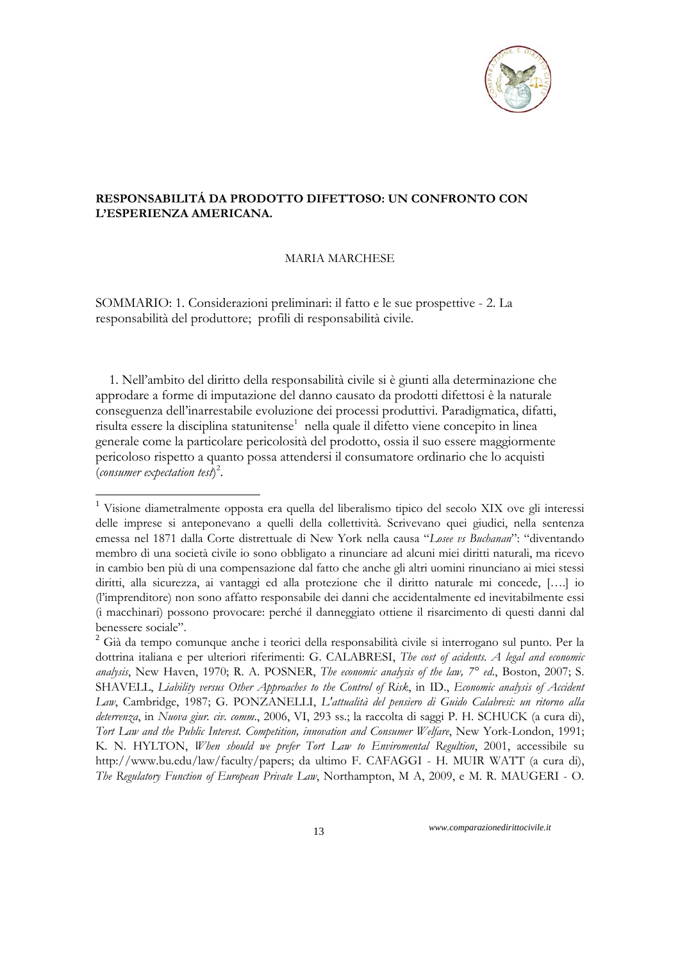

#### **RESPONSABILITÁ DA PRODOTTO DIFETTOSO: UN CONFRONTO CON L'ESPERIENZA AMERICANA.**

#### MARIA MARCHESE

SOMMARIO: 1. Considerazioni preliminari: il fatto e le sue prospettive - 2. La responsabilità del produttore; profili di responsabilità civile.

 1. Nell'ambito del diritto della responsabilità civile si è giunti alla determinazione che approdare a forme di imputazione del danno causato da prodotti difettosi è la naturale conseguenza dell'inarrestabile evoluzione dei processi produttivi. Paradigmatica, difatti, risulta essere la disciplina statunitense<sup>1</sup> nella quale il difetto viene concepito in linea generale come la particolare pericolosità del prodotto, ossia il suo essere maggiormente pericoloso rispetto a quanto possa attendersi il consumatore ordinario che lo acquisti (*consumer expectation test*) 2 .

-

<sup>1</sup> Visione diametralmente opposta era quella del liberalismo tipico del secolo XIX ove gli interessi delle imprese si anteponevano a quelli della collettività. Scrivevano quei giudici, nella sentenza emessa nel 1871 dalla Corte distrettuale di New York nella causa "*Losee vs Buchanan*": "diventando membro di una società civile io sono obbligato a rinunciare ad alcuni miei diritti naturali, ma ricevo in cambio ben più di una compensazione dal fatto che anche gli altri uomini rinunciano ai miei stessi diritti, alla sicurezza, ai vantaggi ed alla protezione che il diritto naturale mi concede, [….] io (l'imprenditore) non sono affatto responsabile dei danni che accidentalmente ed inevitabilmente essi (i macchinari) possono provocare: perché il danneggiato ottiene il risarcimento di questi danni dal benessere sociale".

<sup>2</sup> Già da tempo comunque anche i teorici della responsabilità civile si interrogano sul punto. Per la dottrina italiana e per ulteriori riferimenti: G. CALABRESI, *The cost of acidents. A legal and economic analysis*, New Haven, 1970; R. A. POSNER, *The economic analysis of the law, 7° ed*., Boston, 2007; S. SHAVELL, *Liability versus Other Approaches to the Control of Risk*, in ID., *Economic analysis of Accident Law*, Cambridge, 1987; G. PONZANELLI, *L'attualità del pensiero di Guido Calabresi: un ritorno alla deterrenza*, in *Nuova giur. civ. comm*., 2006, VI, 293 ss.; la raccolta di saggi P. H. SCHUCK (a cura di), *Tort Law and the Public Interest. Competition, innovation and Consumer Welfare*, New York-London, 1991; K. N. HYLTON, *When should we prefer Tort Law to Enviromental Regultion*, 2001, accessibile su http://www.bu.edu/law/faculty/papers; da ultimo F. CAFAGGI - H. MUIR WATT (a cura di), *The Regulatory Function of European Private Law*, Northampton, M A, 2009, e M. R. MAUGERI - O.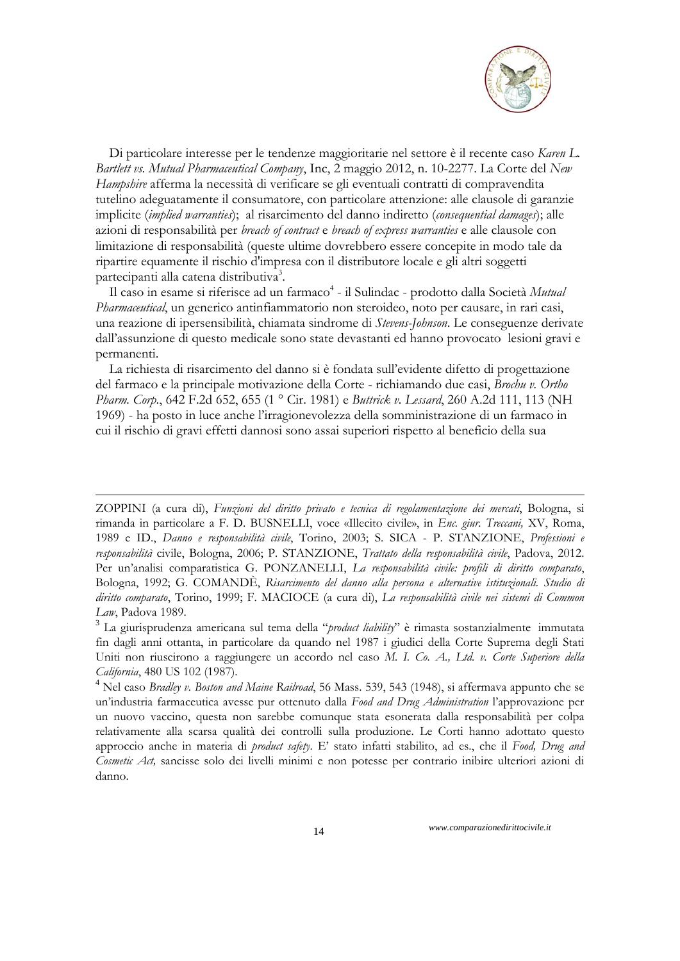

 Di particolare interesse per le tendenze maggioritarie nel settore è il recente caso *Karen L. Bartlett vs. Mutual Pharmaceutical Company*, Inc, 2 maggio 2012, n. 10-2277. La Corte del *New Hampshire* afferma la necessità di verificare se gli eventuali contratti di compravendita tutelino adeguatamente il consumatore, con particolare attenzione: alle clausole di garanzie implicite (*implied warranties*); al risarcimento del danno indiretto (*consequential damages*); alle azioni di responsabilità per *breach of contract* e *breach of express warranties* e alle clausole con limitazione di responsabilità (queste ultime dovrebbero essere concepite in modo tale da ripartire equamente il rischio d'impresa con il distributore locale e gli altri soggetti partecipanti alla catena distributiva<sup>3</sup>.

Il caso in esame si riferisce ad un farmaco<sup>4</sup> - il Sulindac - prodotto dalla Società *Mutual Pharmaceutical*, un generico antinfiammatorio non steroideo, noto per causare, in rari casi, una reazione di ipersensibilità, chiamata sindrome di *Stevens-Johnson*. Le conseguenze derivate dall'assunzione di questo medicale sono state devastanti ed hanno provocato lesioni gravi e permanenti.

 La richiesta di risarcimento del danno si è fondata sull'evidente difetto di progettazione del farmaco e la principale motivazione della Corte - richiamando due casi, *Brochu v. Ortho Pharm. Corp*., 642 F.2d 652, 655 (1 ° Cir. 1981) e *Buttrick v. Lessard*, 260 A.2d 111, 113 (NH 1969) - ha posto in luce anche l'irragionevolezza della somministrazione di un farmaco in cui il rischio di gravi effetti dannosi sono assai superiori rispetto al beneficio della sua

-

ZOPPINI (a cura di), *Funzioni del diritto privato e tecnica di regolamentazione dei mercati*, Bologna, si rimanda in particolare a F. D. BUSNELLI, voce «Illecito civile», in *Enc. giur. Treccani,* XV, Roma, 1989 e ID., *Danno e responsabilità civile*, Torino, 2003; S. SICA - P. STANZIONE, *Professioni e responsabilità* civile, Bologna, 2006; P. STANZIONE, *Trattato della responsabilità civile*, Padova, 2012. Per un'analisi comparatistica G. PONZANELLI, *La responsabilità civile: profili di diritto comparato*, Bologna, 1992; G. COMANDÈ, *Risarcimento del danno alla persona e alternative istituzionali. Studio di diritto comparato*, Torino, 1999; F. MACIOCE (a cura di), *La responsabilità civile nei sistemi di Common Law*, Padova 1989.

<sup>3</sup> La giurisprudenza americana sul tema della "*product liability*" è rimasta sostanzialmente immutata fin dagli anni ottanta, in particolare da quando nel 1987 i giudici della Corte Suprema degli Stati Uniti non riuscirono a raggiungere un accordo nel caso *M. I. Co. A., Ltd. v. Corte Superiore della California*, 480 US 102 (1987).

<sup>4</sup> Nel caso *Bradley v. Boston and Maine Railroad*, 56 Mass. 539, 543 (1948), si affermava appunto che se un'industria farmaceutica avesse pur ottenuto dalla *Food and Drug Administration* l'approvazione per un nuovo vaccino, questa non sarebbe comunque stata esonerata dalla responsabilità per colpa relativamente alla scarsa qualità dei controlli sulla produzione. Le Corti hanno adottato questo approccio anche in materia di *product safety*. E' stato infatti stabilito, ad es., che il *Food, Drug and Cosmetic Act,* sancisse solo dei livelli minimi e non potesse per contrario inibire ulteriori azioni di danno.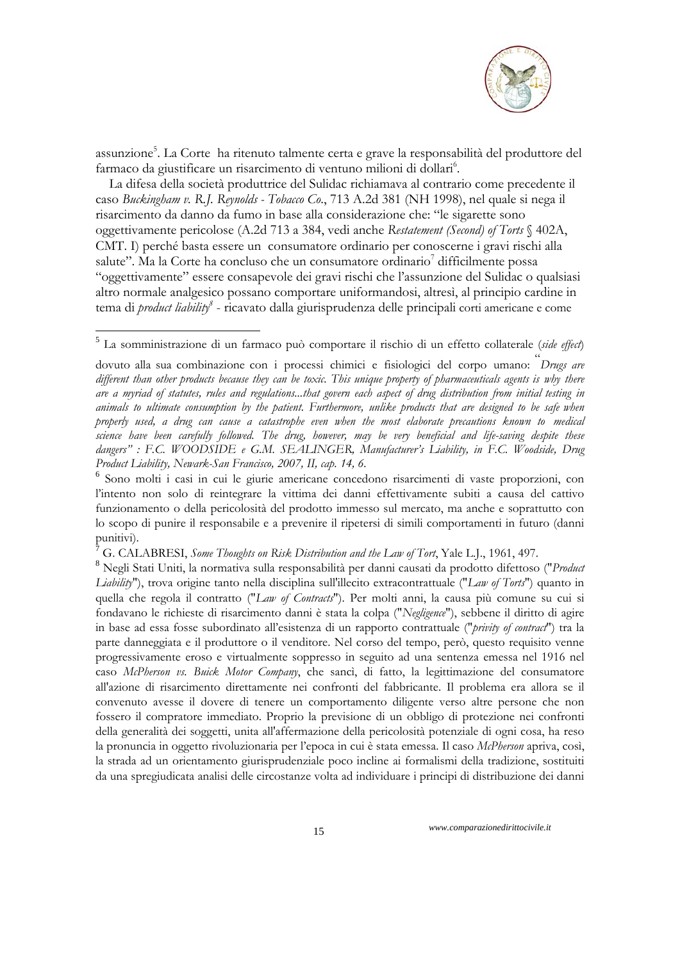

assunzione<sup>5</sup>. La Corte ha ritenuto talmente certa e grave la responsabilità del produttore del farmaco da giustificare un risarcimento di ventuno milioni di dollari<sup>6</sup>.

 La difesa della società produttrice del Sulidac richiamava al contrario come precedente il caso *Buckingham v. R.J. Reynolds - Tobacco Co*., 713 A.2d 381 (NH 1998), nel quale si nega il risarcimento da danno da fumo in base alla considerazione che: "le sigarette sono oggettivamente pericolose (A.2d 713 a 384, vedi anche *Restatement (Second) of Torts* § 402A, CMT. I) perché basta essere un consumatore ordinario per conoscerne i gravi rischi alla salute". Ma la Corte ha concluso che un consumatore ordinario<sup>7</sup> difficilmente possa "oggettivamente" essere consapevole dei gravi rischi che l'assunzione del Sulidac o qualsiasi altro normale analgesico possano comportare uniformandosi, altresì, al principio cardine in tema di *product liability<sup>8</sup>* - ricavato dalla giurisprudenza delle principali corti americane e come

1

<sup>7</sup> G. CALABRESI, *Some Thoughts on Risk Distribution and the Law of Tort*, Yale L.J., 1961, 497.

<sup>5</sup> La somministrazione di un farmaco può comportare il rischio di un effetto collaterale (*side effect*)

dovuto alla sua combinazione con i processi chimici e fisiologici del corpo umano: " *Drugs are different than other products because they can be toxic. This unique property of pharmaceuticals agents is why there are a myriad of statutes, rules and regulations...that govern each aspect of drug distribution from initial testing in animals to ultimate consumption by the patient. Furthermore, unlike products that are designed to be safe when properly used, a drug can cause a catastrophe even when the most elaborate precautions known to medical science have been carefully followed. The drug, however, may be very beneficial and life-saving despite these dangers" : F.C. WOODSIDE e G.M. SEALINGER, Manufacturer's Liability, in F.C. Woodside, Drug Product Liability, Newark-San Francisco, 2007, II, cap. 14, 6.*

<sup>6</sup> Sono molti i casi in cui le giurie americane concedono risarcimenti di vaste proporzioni, con l'intento non solo di reintegrare la vittima dei danni effettivamente subiti a causa del cattivo funzionamento o della pericolosità del prodotto immesso sul mercato, ma anche e soprattutto con lo scopo di punire il responsabile e a prevenire il ripetersi di simili comportamenti in futuro (danni punitivi).

<sup>8</sup> Negli Stati Uniti, la normativa sulla responsabilità per danni causati da prodotto difettoso ("*Product Liability*"), trova origine tanto nella disciplina sull'illecito extracontrattuale ("*Law of Torts*") quanto in quella che regola il contratto ("*Law of Contracts*"). Per molti anni, la causa più comune su cui si fondavano le richieste di risarcimento danni è stata la colpa ("*Negligence*"), sebbene il diritto di agire in base ad essa fosse subordinato all'esistenza di un rapporto contrattuale ("*privity of contract*") tra la parte danneggiata e il produttore o il venditore. Nel corso del tempo, però, questo requisito venne progressivamente eroso e virtualmente soppresso in seguito ad una sentenza emessa nel 1916 nel caso *McPherson vs. Buick Motor Company*, che sancì, di fatto, la legittimazione del consumatore all'azione di risarcimento direttamente nei confronti del fabbricante. Il problema era allora se il convenuto avesse il dovere di tenere un comportamento diligente verso altre persone che non fossero il compratore immediato. Proprio la previsione di un obbligo di protezione nei confronti della generalità dei soggetti, unita all'affermazione della pericolosità potenziale di ogni cosa, ha reso la pronuncia in oggetto rivoluzionaria per l'epoca in cui è stata emessa. Il caso *McPherson* apriva, così, la strada ad un orientamento giurisprudenziale poco incline ai formalismi della tradizione, sostituiti da una spregiudicata analisi delle circostanze volta ad individuare i principi di distribuzione dei danni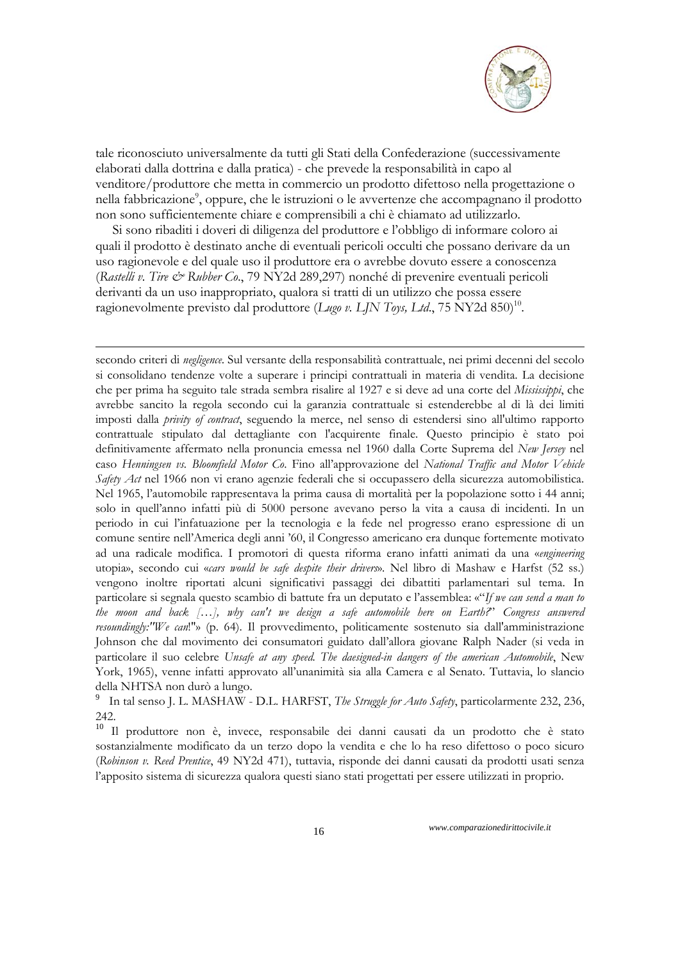

tale riconosciuto universalmente da tutti gli Stati della Confederazione (successivamente elaborati dalla dottrina e dalla pratica) - che prevede la responsabilità in capo al venditore/produttore che metta in commercio un prodotto difettoso nella progettazione o nella fabbricazione<sup>9</sup>, oppure, che le istruzioni o le avvertenze che accompagnano il prodotto non sono sufficientemente chiare e comprensibili a chi è chiamato ad utilizzarlo.

 Si sono ribaditi i doveri di diligenza del produttore e l'obbligo di informare coloro ai quali il prodotto è destinato anche di eventuali pericoli occulti che possano derivare da un uso ragionevole e del quale uso il produttore era o avrebbe dovuto essere a conoscenza (*Rastelli v. Tire & Rubber Co*., 79 NY2d 289,297) nonché di prevenire eventuali pericoli derivanti da un uso inappropriato, qualora si tratti di un utilizzo che possa essere ragionevolmente previsto dal produttore (*Lugo v. LJN Toys, Ltd.*, 75 NY2d 850)<sup>10</sup>.

1

secondo criteri di *negligence*. Sul versante della responsabilità contrattuale, nei primi decenni del secolo si consolidano tendenze volte a superare i principi contrattuali in materia di vendita. La decisione che per prima ha seguito tale strada sembra risalire al 1927 e si deve ad una corte del *Mississippi*, che avrebbe sancito la regola secondo cui la garanzia contrattuale si estenderebbe al di là dei limiti imposti dalla *privity of contract*, seguendo la merce, nel senso di estendersi sino all'ultimo rapporto contrattuale stipulato dal dettagliante con l'acquirente finale. Questo principio è stato poi definitivamente affermato nella pronuncia emessa nel 1960 dalla Corte Suprema del *New Jersey* nel caso *Henningsen vs. Bloomfield Motor Co*. Fino all'approvazione del *National Traffic and Motor Vehicle Safety Act* nel 1966 non vi erano agenzie federali che si occupassero della sicurezza automobilistica. Nel 1965, l'automobile rappresentava la prima causa di mortalità per la popolazione sotto i 44 anni; solo in quell'anno infatti più di 5000 persone avevano perso la vita a causa di incidenti. In un periodo in cui l'infatuazione per la tecnologia e la fede nel progresso erano espressione di un comune sentire nell'America degli anni '60, il Congresso americano era dunque fortemente motivato ad una radicale modifica. I promotori di questa riforma erano infatti animati da una «*engineering* utopia», secondo cui «*cars would be safe despite their drivers*». Nel libro di Mashaw e Harfst (52 ss.) vengono inoltre riportati alcuni significativi passaggi dei dibattiti parlamentari sul tema. In particolare si segnala questo scambio di battute fra un deputato e l'assemblea: «"*If we can send a man to the moon and back […], why can't we design a safe automobile here on Earth?*" *Congress answered resoundingly:"We can*!"» (p. 64). Il provvedimento, politicamente sostenuto sia dall'amministrazione Johnson che dal movimento dei consumatori guidato dall'allora giovane Ralph Nader (si veda in particolare il suo celebre *Unsafe at any speed. The daesigned-in dangers of the american Automobile*, New York, 1965), venne infatti approvato all'unanimità sia alla Camera e al Senato. Tuttavia, lo slancio della NHTSA non durò a lungo.

9 In tal senso J. L. MASHAW - D.L. HARFST, *The Struggle for Auto Safety*, particolarmente 232, 236, 242.

<sup>10</sup> Il produttore non è, invece, responsabile dei danni causati da un prodotto che è stato sostanzialmente modificato da un terzo dopo la vendita e che lo ha reso difettoso o poco sicuro (*Robinson v. Reed Prentice*, 49 NY2d 471), tuttavia, risponde dei danni causati da prodotti usati senza l'apposito sistema di sicurezza qualora questi siano stati progettati per essere utilizzati in proprio.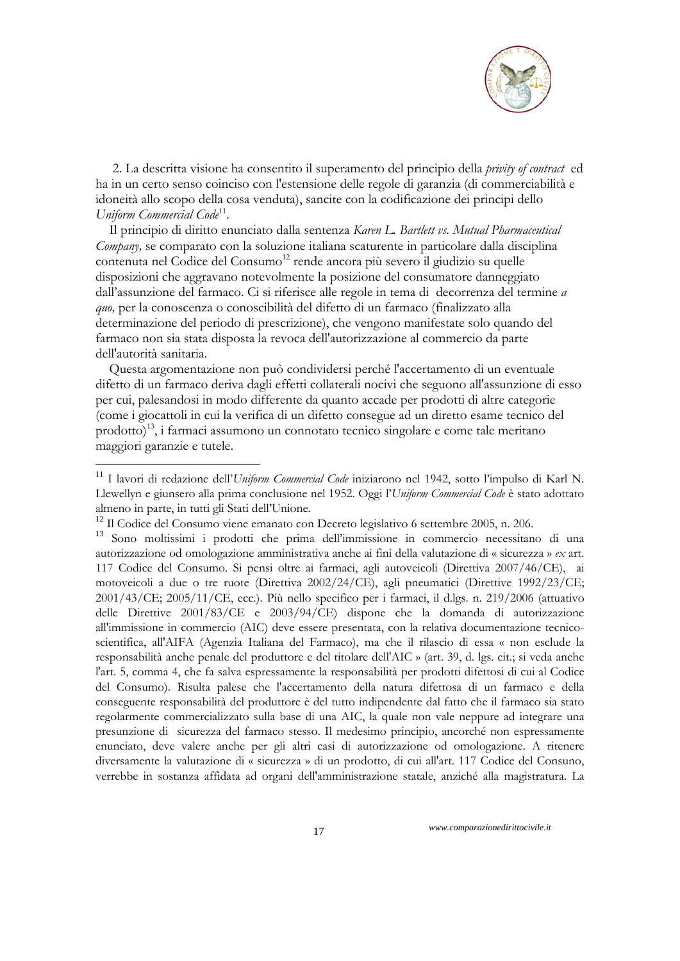

 2. La descritta visione ha consentito il superamento del principio della *privity of contract* ed ha in un certo senso coinciso con l'estensione delle regole di garanzia (di commerciabilità e idoneità allo scopo della cosa venduta), sancite con la codificazione dei principi dello *Uniform Commercial Code*11.

 Il principio di diritto enunciato dalla sentenza *Karen L. Bartlett vs. Mutual Pharmaceutical Company,* se comparato con la soluzione italiana scaturente in particolare dalla disciplina contenuta nel Codice del Consumo<sup>12</sup> rende ancora più severo il giudizio su quelle disposizioni che aggravano notevolmente la posizione del consumatore danneggiato dall'assunzione del farmaco. Ci si riferisce alle regole in tema di decorrenza del termine *a quo,* per la conoscenza o conoscibilità del difetto di un farmaco (finalizzato alla determinazione del periodo di prescrizione), che vengono manifestate solo quando del farmaco non sia stata disposta la revoca dell'autorizzazione al commercio da parte dell'autorità sanitaria.

 Questa argomentazione non può condividersi perché l'accertamento di un eventuale difetto di un farmaco deriva dagli effetti collaterali nocivi che seguono all'assunzione di esso per cui, palesandosi in modo differente da quanto accade per prodotti di altre categorie (come i giocattoli in cui la verifica di un difetto consegue ad un diretto esame tecnico del prodotto)13, i farmaci assumono un connotato tecnico singolare e come tale meritano maggiori garanzie e tutele.

1

<sup>11</sup> I lavori di redazione dell'*Uniform Commercial Code* iniziarono nel 1942, sotto l'impulso di Karl N. Llewellyn e giunsero alla prima conclusione nel 1952. Oggi l'*Uniform Commercial Code* è stato adottato almeno in parte, in tutti gli Stati dell'Unione.

 $12$  Il Codice del Consumo viene emanato con Decreto legislativo 6 settembre 2005, n. 206.

<sup>13</sup> Sono moltissimi i prodotti che prima dell'immissione in commercio necessitano di una autorizzazione od omologazione amministrativa anche ai fini della valutazione di « sicurezza » *ex* art. 117 Codice del Consumo. Si pensi oltre ai farmaci, agli autoveicoli (Direttiva 2007/46/CE), ai motoveicoli a due o tre ruote (Direttiva 2002/24/CE), agli pneumatici (Direttive 1992/23/CE; 2001/43/CE; 2005/11/CE, ecc.). Più nello specifico per i farmaci, il d.lgs. n. 219/2006 (attuativo delle Direttive 2001/83/CE e 2003/94/CE) dispone che la domanda di autorizzazione all'immissione in commercio (AIC) deve essere presentata, con la relativa documentazione tecnicoscientifica, all'AIFA (Agenzia Italiana del Farmaco), ma che il rilascio di essa « non esclude la responsabilità anche penale del produttore e del titolare dell'AIC » (art. 39, d. lgs. cit.; si veda anche l'art. 5, comma 4, che fa salva espressamente la responsabilità per prodotti difettosi di cui al Codice del Consumo). Risulta palese che l'accertamento della natura difettosa di un farmaco e della conseguente responsabilità del produttore è del tutto indipendente dal fatto che il farmaco sia stato regolarmente commercializzato sulla base di una AIC, la quale non vale neppure ad integrare una presunzione di sicurezza del farmaco stesso. Il medesimo principio, ancorché non espressamente enunciato, deve valere anche per gli altri casi di autorizzazione od omologazione. A ritenere diversamente la valutazione di « sicurezza » di un prodotto, di cui all'art. 117 Codice del Consuno, verrebbe in sostanza affidata ad organi dell'amministrazione statale, anziché alla magistratura. La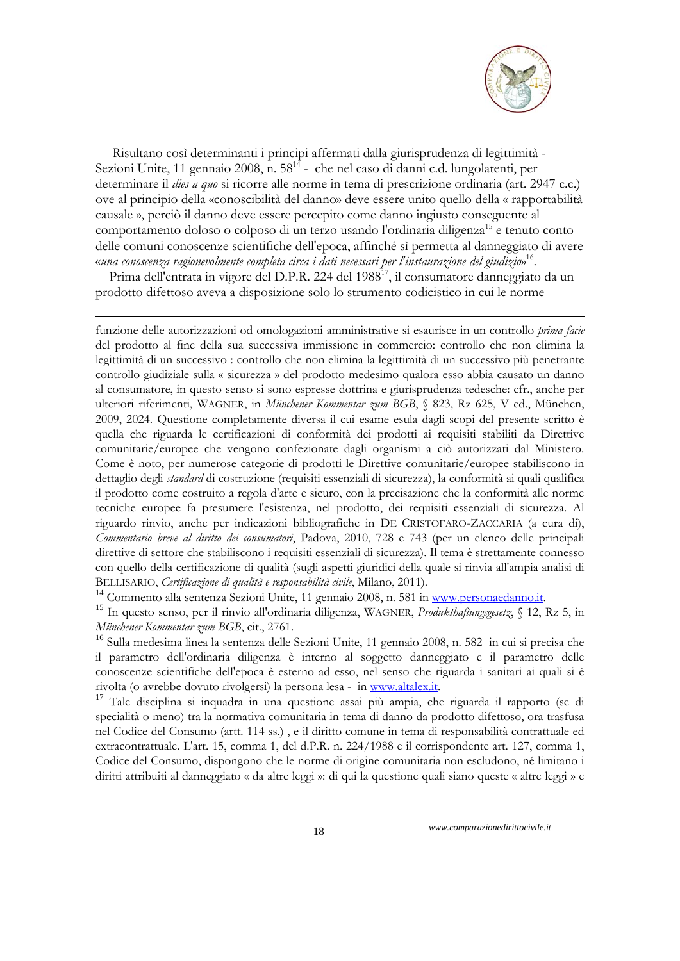

 Risultano così determinanti i principi affermati dalla giurisprudenza di legittimità - Sezioni Unite, 11 gennaio 2008, n. 58<sup>14</sup> - che nel caso di danni c.d. lungolatenti, per determinare il *dies a quo* si ricorre alle norme in tema di prescrizione ordinaria (art. 2947 c.c.) ove al principio della «conoscibilità del danno» deve essere unito quello della « rapportabilità causale », perciò il danno deve essere percepito come danno ingiusto conseguente al comportamento doloso o colposo di un terzo usando l'ordinaria diligenza<sup>15</sup> e tenuto conto delle comuni conoscenze scientifiche dell'epoca, affinché sì permetta al danneggiato di avere «*una conoscenza ragionevolmente completa circa i dati necessari per l'instaurazione del giudizio*» 16.

Prima dell'entrata in vigore del D.P.R. 224 del 1988<sup>17</sup>, il consumatore danneggiato da un prodotto difettoso aveva a disposizione solo lo strumento codicistico in cui le norme

1

funzione delle autorizzazioni od omologazioni amministrative si esaurisce in un controllo *prima facie* del prodotto al fine della sua successiva immissione in commercio: controllo che non elimina la legittimità di un successivo : controllo che non elimina la legittimità di un successivo più penetrante controllo giudiziale sulla « sicurezza » del prodotto medesimo qualora esso abbia causato un danno al consumatore, in questo senso si sono espresse dottrina e giurisprudenza tedesche: cfr., anche per ulteriori riferimenti, WAGNER, in *Münchener Kommentar zum BGB*, § 823, Rz 625, V ed., München, 2009, 2024. Questione completamente diversa il cui esame esula dagli scopi del presente scritto è quella che riguarda le certificazioni di conformità dei prodotti ai requisiti stabiliti da Direttive comunitarie/europee che vengono confezionate dagli organismi a ciò autorizzati dal Ministero. Come è noto, per numerose categorie di prodotti le Direttive comunitarie/europee stabiliscono in dettaglio degli *standard* di costruzione (requisiti essenziali di sicurezza), la conformità ai quali qualifica il prodotto come costruito a regola d'arte e sicuro, con la precisazione che la conformità alle norme tecniche europee fa presumere l'esistenza, nel prodotto, dei requisiti essenziali di sicurezza. Al riguardo rinvio, anche per indicazioni bibliografiche in DE CRISTOFARO-ZACCARIA (a cura di), *Commentario breve al diritto dei consumatori*, Padova, 2010, 728 e 743 (per un elenco delle principali direttive di settore che stabiliscono i requisiti essenziali di sicurezza). Il tema è strettamente connesso con quello della certificazione di qualità (sugli aspetti giuridici della quale si rinvia all'ampia analisi di BELLISARIO, *Certificazione di qualità e responsabilità civile*, Milano, 2011).

<sup>14</sup> Commento alla sentenza Sezioni Unite, 11 gennaio 2008, n. 581 in www.personaedanno.it. <sup>15</sup> In questo senso, per il rinvio all'ordinaria diligenza, WAGNER, *Produkthaftungsgesetz*, § 12, Rz 5, in *Münchener Kommentar zum BGB*, cit., 2761.

<sup>16</sup> Sulla medesima linea la sentenza delle Sezioni Unite, 11 gennaio 2008, n. 582 in cui si precisa che il parametro dell'ordinaria diligenza è interno al soggetto danneggiato e il parametro delle conoscenze scientifiche dell'epoca è esterno ad esso, nel senso che riguarda i sanitari ai quali si è rivolta (o avrebbe dovuto rivolgersi) la persona lesa - in www.altalex.it. <sup>17</sup> Tale disciplina si inquadra in una questione assai più ampia, che riguarda il rapporto (se di

specialità o meno) tra la normativa comunitaria in tema di danno da prodotto difettoso, ora trasfusa nel Codice del Consumo (artt. 114 ss.) , e il diritto comune in tema di responsabilità contrattuale ed extracontrattuale. L'art. 15, comma 1, del d.P.R. n. 224/1988 e il corrispondente art. 127, comma 1, Codice del Consumo, dispongono che le norme di origine comunitaria non escludono, né limitano i diritti attribuiti al danneggiato « da altre leggi »: di qui la questione quali siano queste « altre leggi » e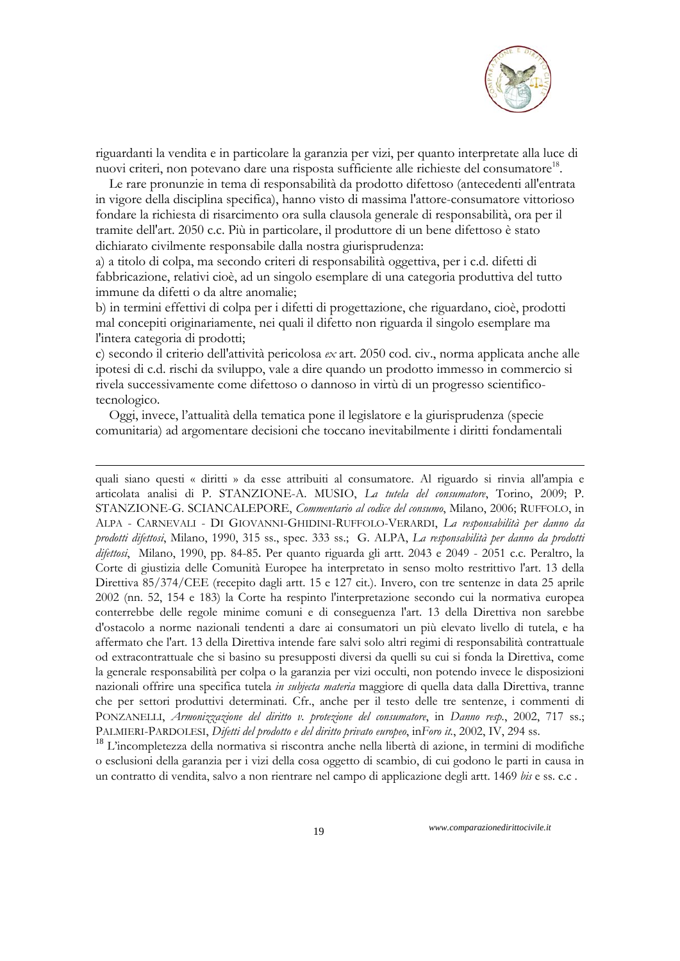

riguardanti la vendita e in particolare la garanzia per vizi, per quanto interpretate alla luce di nuovi criteri, non potevano dare una risposta sufficiente alle richieste del consumatore<sup>18</sup>.

 Le rare pronunzie in tema di responsabilità da prodotto difettoso (antecedenti all'entrata in vigore della disciplina specifica), hanno visto di massima l'attore-consumatore vittorioso fondare la richiesta di risarcimento ora sulla clausola generale di responsabilità, ora per il tramite dell'art. 2050 c.c. Più in particolare, il produttore di un bene difettoso è stato dichiarato civilmente responsabile dalla nostra giurisprudenza:

a) a titolo di colpa, ma secondo criteri di responsabilità oggettiva, per i c.d. difetti di fabbricazione, relativi cioè, ad un singolo esemplare di una categoria produttiva del tutto immune da difetti o da altre anomalie;

b) in termini effettivi di colpa per i difetti di progettazione, che riguardano, cioè, prodotti mal concepiti originariamente, nei quali il difetto non riguarda il singolo esemplare ma l'intera categoria di prodotti;

c) secondo il criterio dell'attività pericolosa *ex* art. 2050 cod. civ., norma applicata anche alle ipotesi di c.d. rischi da sviluppo, vale a dire quando un prodotto immesso in commercio si rivela successivamente come difettoso o dannoso in virtù di un progresso scientificotecnologico.

 Oggi, invece, l'attualità della tematica pone il legislatore e la giurisprudenza (specie comunitaria) ad argomentare decisioni che toccano inevitabilmente i diritti fondamentali

1

quali siano questi « diritti » da esse attribuiti al consumatore. Al riguardo si rinvia all'ampia e articolata analisi di P. STANZIONE-A. MUSIO, *La tutela del consumatore*, Torino, 2009; P. STANZIONE-G. SCIANCALEPORE, *Commentario al codice del consumo*, Milano, 2006; RUFFOLO, in ALPA - CARNEVALI - DI GIOVANNI-GHIDINI-RUFFOLO-VERARDI, *La responsabilità per danno da prodotti difettosi*, Milano, 1990, 315 ss., spec. 333 ss.; G. ALPA, *La responsabilità per danno da prodotti difettosi*, Milano, 1990, pp. 84-85. Per quanto riguarda gli artt. 2043 e 2049 - 2051 c.c. Peraltro, la Corte di giustizia delle Comunità Europee ha interpretato in senso molto restrittivo l'art. 13 della Direttiva 85/374/CEE (recepito dagli artt. 15 e 127 cit.). Invero, con tre sentenze in data 25 aprile 2002 (nn. 52, 154 e 183) la Corte ha respinto l'interpretazione secondo cui la normativa europea conterrebbe delle regole minime comuni e di conseguenza l'art. 13 della Direttiva non sarebbe d'ostacolo a norme nazionali tendenti a dare ai consumatori un più elevato livello di tutela, e ha affermato che l'art. 13 della Direttiva intende fare salvi solo altri regimi di responsabilità contrattuale od extracontrattuale che si basino su presupposti diversi da quelli su cui si fonda la Direttiva, come la generale responsabilità per colpa o la garanzia per vizi occulti, non potendo invece le disposizioni nazionali offrire una specifica tutela *in subjecta materia* maggiore di quella data dalla Direttiva, tranne che per settori produttivi determinati. Cfr., anche per il testo delle tre sentenze, i commenti di PONZANELLI, *Armonizzazione del diritto v. protezione del consumatore*, in *Danno resp.*, 2002, 717 ss.; PALMIERI-PARDOLESI, *Difetti del prodotto e del diritto privato europeo*, in*Foro it.*, 2002, IV, 294 ss.

<sup>18</sup> L'incompletezza della normativa si riscontra anche nella libertà di azione, in termini di modifiche o esclusioni della garanzia per i vizi della cosa oggetto di scambio, di cui godono le parti in causa in un contratto di vendita, salvo a non rientrare nel campo di applicazione degli artt. 1469 *bis* e ss. c.c .